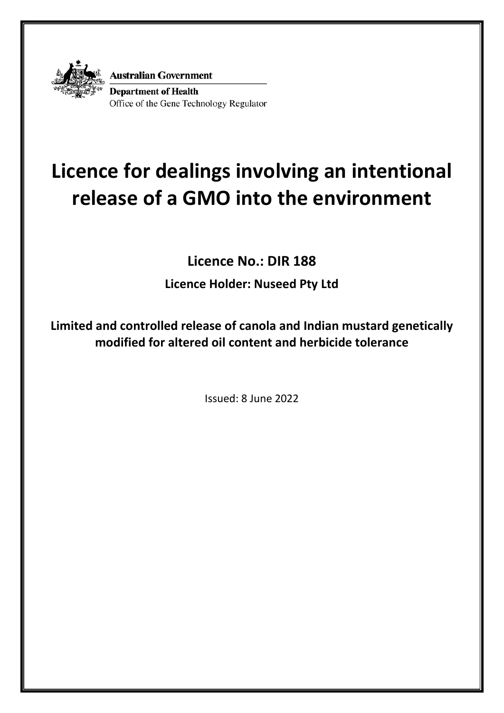

**Australian Government Department of Health** Office of the Gene Technology Regulator

# **Licence for dealings involving an intentional release of a GMO into the environment**

**Licence No.: DIR 188**

**Licence Holder: Nuseed Pty Ltd**

**Limited and controlled release of canola and Indian mustard genetically modified for altered oil content and herbicide tolerance**

Issued: 8 June 2022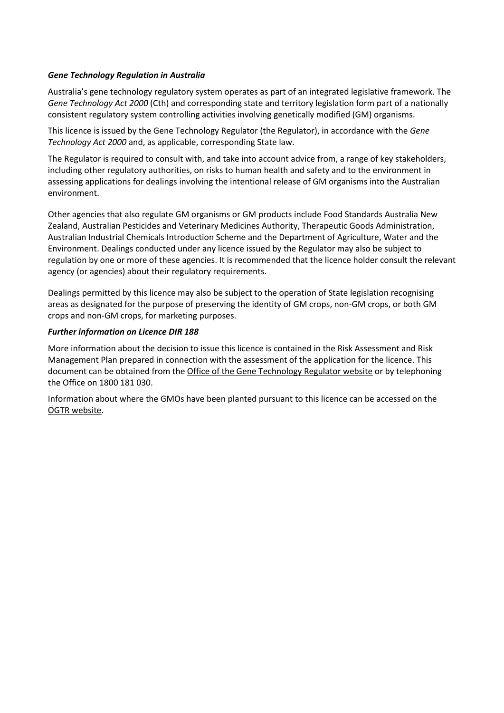#### *Gene Technology Regulation in Australia*

Australia's gene technology regulatory system operates as part of an integrated legislative framework. The *Gene Technology Act 2000* (Cth) and corresponding state and territory legislation form part of a nationally consistent regulatory system controlling activities involving genetically modified (GM) organisms.

This licence is issued by the Gene Technology Regulator (the Regulator), in accordance with the *Gene Technology Act 2000* and, as applicable, corresponding State law.

The Regulator is required to consult with, and take into account advice from, a range of key stakeholders, including other regulatory authorities, on risks to human health and safety and to the environment in assessing applications for dealings involving the intentional release of GM organisms into the Australian environment.

Other agencies that also regulate GM organisms or GM products include Food Standards Australia New Zealand, Australian Pesticides and Veterinary Medicines Authority, Therapeutic Goods Administration, Australian Industrial Chemicals Introduction Scheme and the Department of Agriculture, Water and the Environment. Dealings conducted under any licence issued by the Regulator may also be subject to regulation by one or more of these agencies. It is recommended that the licence holder consult the relevant agency (or agencies) about their regulatory requirements.

Dealings permitted by this licence may also be subject to the operation of State legislation recognising areas as designated for the purpose of preserving the identity of GM crops, non-GM crops, or both GM crops and non-GM crops, for marketing purposes.

#### *Further information on Licence DIR 188*

More information about the decision to issue this licence is contained in the Risk Assessment and Risk Management Plan prepared in connection with the assessment of the application for the licence. This document can be obtained from the [Office of the Gene Technology Regulator website](https://www.ogtr.gov.au/gmo-dealings/dealings-involving-intentional-release/dir-188) or by telephoning the Office on 1800 181 030.

Information about where the GMOs have been planted pursuant to this licence can be accessed on the [OGTR website.](https://www.ogtr.gov.au/gmo-dealings/dealings-involving-intentional-release/dir-188)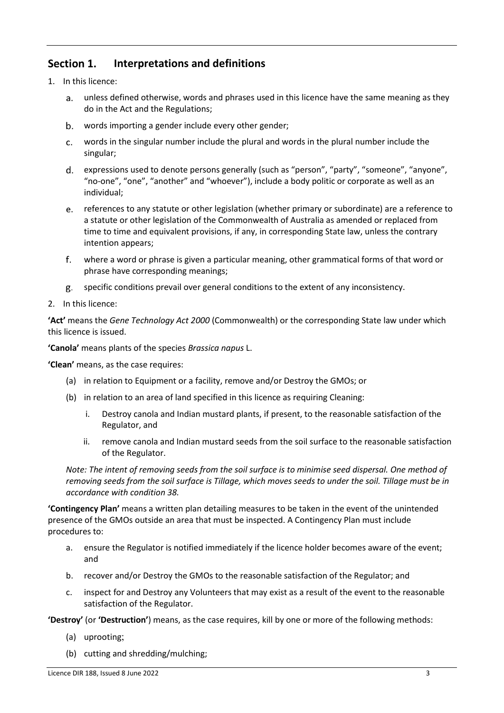#### Section 1. **Interpretations and definitions**

- 1. In this licence:
	- unless defined otherwise, words and phrases used in this licence have the same meaning as they do in the Act and the Regulations;
	- words importing a gender include every other gender;  $b.$
	- $c.$ words in the singular number include the plural and words in the plural number include the singular;
	- expressions used to denote persons generally (such as "person", "party", "someone", "anyone", d. "no-one", "one", "another" and "whoever"), include a body politic or corporate as well as an individual;
	- references to any statute or other legislation (whether primary or subordinate) are a reference to e. a statute or other legislation of the Commonwealth of Australia as amended or replaced from time to time and equivalent provisions, if any, in corresponding State law, unless the contrary intention appears;
	- $f_{\cdot}$ where a word or phrase is given a particular meaning, other grammatical forms of that word or phrase have corresponding meanings;
	- specific conditions prevail over general conditions to the extent of any inconsistency. g.
- 2. In this licence:

**'Act'** means the *Gene Technology Act 2000* (Commonwealth) or the corresponding State law under which this licence is issued.

**'Canola'** means plants of the species *Brassica napus* L.

**'Clean'** means, as the case requires:

- (a) in relation to Equipment or a facility, remove and/or Destroy the GMOs; or
- (b) in relation to an area of land specified in this licence as requiring Cleaning:
	- i. Destroy canola and Indian mustard plants, if present, to the reasonable satisfaction of the Regulator, and
	- ii. remove canola and Indian mustard seeds from the soil surface to the reasonable satisfaction of the Regulator.

*Note: The intent of removing seeds from the soil surface is to minimise seed dispersal. One method of removing seeds from the soil surface is Tillage, which moves seeds to under the soil. Tillage must be in accordance with condition [38.](#page-11-0)*

**'Contingency Plan'** means a written plan detailing measures to be taken in the event of the unintended presence of the GMOs outside an area that must be inspected. A Contingency Plan must include procedures to:

- a. ensure the Regulator is notified immediately if the licence holder becomes aware of the event; and
- b. recover and/or Destroy the GMOs to the reasonable satisfaction of the Regulator; and
- c. inspect for and Destroy any Volunteers that may exist as a result of the event to the reasonable satisfaction of the Regulator.

**'Destroy'** (or **'Destruction'**) means, as the case requires, kill by one or more of the following methods:

- (a) uprooting;
- (b) cutting and shredding/mulching;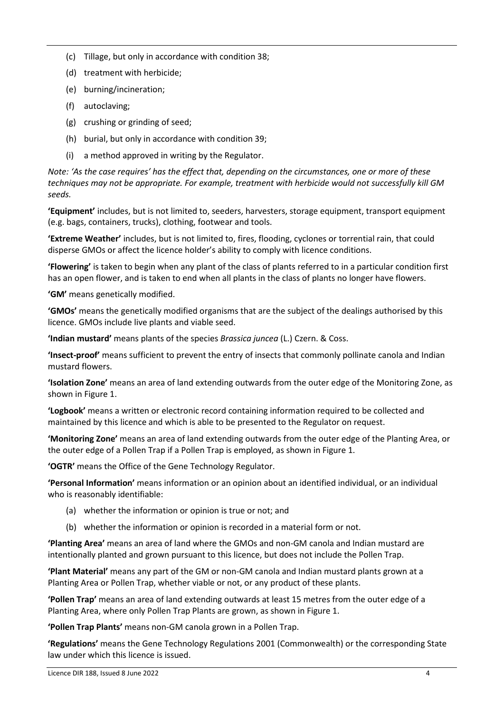- (c) Tillage, but only in accordance with condition [38;](#page-11-0)
- (d) treatment with herbicide;
- (e) burning/incineration;
- (f) autoclaving;
- (g) crushing or grinding of seed;
- (h) burial, but only in accordance with condition [39;](#page-11-1)
- (i) a method approved in writing by the Regulator.

*Note: 'As the case requires' has the effect that, depending on the circumstances, one or more of these techniques may not be appropriate. For example, treatment with herbicide would not successfully kill GM seeds.*

**'Equipment'** includes, but is not limited to, seeders, harvesters, storage equipment, transport equipment (e.g. bags, containers, trucks), clothing, footwear and tools.

**'Extreme Weather'** includes, but is not limited to, fires, flooding, cyclones or torrential rain, that could disperse GMOs or affect the licence holder's ability to comply with licence conditions.

**'Flowering'** is taken to begin when any plant of the class of plants referred to in a particular condition first has an open flower, and is taken to end when all plants in the class of plants no longer have flowers.

**'GM'** means genetically modified.

**'GMOs'** means the genetically modified organisms that are the subject of the dealings authorised by this licence. GMOs include live plants and viable seed.

**'Indian mustard'** means plants of the species *Brassica juncea* (L.) Czern. & Coss.

**'Insect-proof'** means sufficient to prevent the entry of insects that commonly pollinate canola and Indian mustard flowers.

**'Isolation Zone'** means an area of land extending outwards from the outer edge of the Monitoring Zone, as shown in Figure 1.

**'Logbook'** means a written or electronic record containing information required to be collected and maintained by this licence and which is able to be presented to the Regulator on request.

**'Monitoring Zone'** means an area of land extending outwards from the outer edge of the Planting Area, or the outer edge of a Pollen Trap if a Pollen Trap is employed, as shown in Figure 1.

**'OGTR'** means the Office of the Gene Technology Regulator.

**'Personal Information'** means information or an opinion about an identified individual, or an individual who is reasonably identifiable:

- (a) whether the information or opinion is true or not; and
- (b) whether the information or opinion is recorded in a material form or not.

**'Planting Area'** means an area of land where the GMOs and non-GM canola and Indian mustard are intentionally planted and grown pursuant to this licence, but does not include the Pollen Trap.

**'Plant Material'** means any part of the GM or non-GM canola and Indian mustard plants grown at a Planting Area or Pollen Trap, whether viable or not, or any product of these plants.

**'Pollen Trap'** means an area of land extending outwards at least 15 metres from the outer edge of a Planting Area, where only Pollen Trap Plants are grown, as shown in Figure 1.

**'Pollen Trap Plants'** means non-GM canola grown in a Pollen Trap.

**'Regulations'** means the Gene Technology Regulations 2001 (Commonwealth) or the corresponding State law under which this licence is issued.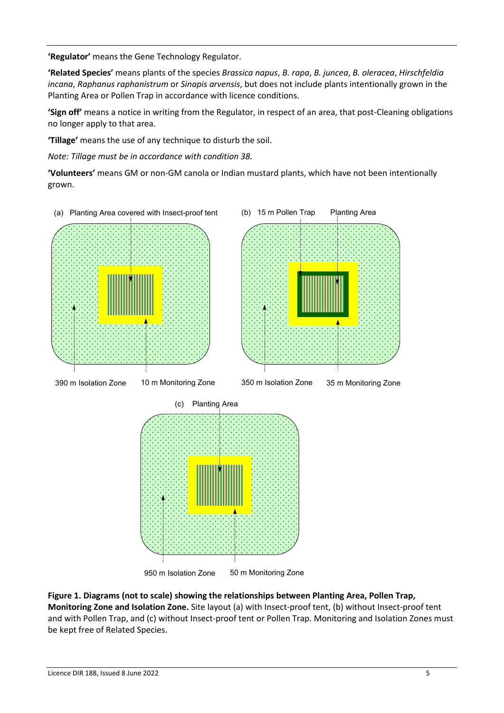**'Regulator'** means the Gene Technology Regulator.

**'Related Species'** means plants of the species *Brassica napus*, *B. rapa*, *B. juncea*, *B. oleracea*, *Hirschfeldia incana*, *Raphanus raphanistrum* or *Sinapis arvensis*, but does not include plants intentionally grown in the Planting Area or Pollen Trap in accordance with licence conditions.

**'Sign off'** means a notice in writing from the Regulator, in respect of an area, that post-Cleaning obligations no longer apply to that area.

**'Tillage'** means the use of any technique to disturb the soil.

*Note: Tillage must be in accordance with conditio[n 38.](#page-11-0)*

**'Volunteers'** means GM or non-GM canola or Indian mustard plants, which have not been intentionally grown.



950 m Isolation Zone 50 m Monitoring Zone

**Figure 1. Diagrams (not to scale) showing the relationships between Planting Area, Pollen Trap, Monitoring Zone and Isolation Zone.** Site layout (a) with Insect-proof tent, (b) without Insect-proof tent and with Pollen Trap, and (c) without Insect-proof tent or Pollen Trap. Monitoring and Isolation Zones must be kept free of Related Species.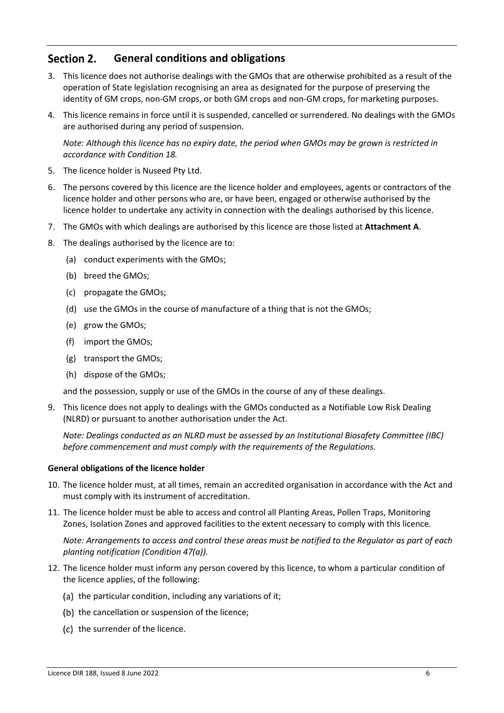#### Section 2. **General conditions and obligations**

- 3. This licence does not authorise dealings with the GMOs that are otherwise prohibited as a result of the operation of State legislation recognising an area as designated for the purpose of preserving the identity of GM crops, non-GM crops, or both GM crops and non-GM crops, for marketing purposes.
- 4. This licence remains in force until it is suspended, cancelled or surrendered. No dealings with the GMOs are authorised during any period of suspension.

*Note: Although this licence has no expiry date, the period when GMOs may be grown is restricted in accordance with Condition 18.*

- 5. The licence holder is Nuseed Pty Ltd.
- 6. The persons covered by this licence are the licence holder and employees, agents or contractors of the licence holder and other persons who are, or have been, engaged or otherwise authorised by the licence holder to undertake any activity in connection with the dealings authorised by this licence.
- 7. The GMOs with which dealings are authorised by this licence are those listed at **Attachment [A](#page-16-0)**.
- 8. The dealings authorised by the licence are to:
	- (a) conduct experiments with the GMOs;
	- (b) breed the GMOs;
	- (c) propagate the GMOs;
	- (d) use the GMOs in the course of manufacture of a thing that is not the GMOs;
	- (e) grow the GMOs;
	- (f) import the GMOs;
	- (g) transport the GMOs;
	- (h) dispose of the GMOs;

and the possession, supply or use of the GMOs in the course of any of these dealings.

<span id="page-5-1"></span>9. This licence does not apply to dealings with the GMOs conducted as a Notifiable Low Risk Dealing (NLRD) or pursuant to another authorisation under the Act.

*Note: Dealings conducted as an NLRD must be assessed by an Institutional Biosafety Committee (IBC) before commencement and must comply with the requirements of the Regulations.*

#### **General obligations of the licence holder**

- 10. The licence holder must, at all times, remain an accredited organisation in accordance with the Act and must comply with its instrument of accreditation.
- <span id="page-5-0"></span>11. The licence holder must be able to access and control all Planting Areas, Pollen Traps, Monitoring Zones, Isolation Zones and approved facilities to the extent necessary to comply with this licence.

*Note: Arrangements to access and control these areas must be notified to the Regulator as part of each planting notification (Condition [47\(](#page-14-0)a)).*

- 12. The licence holder must inform any person covered by this licence, to whom a particular condition of the licence applies, of the following:
	- (a) the particular condition, including any variations of it;
	- (b) the cancellation or suspension of the licence;
	- (c) the surrender of the licence.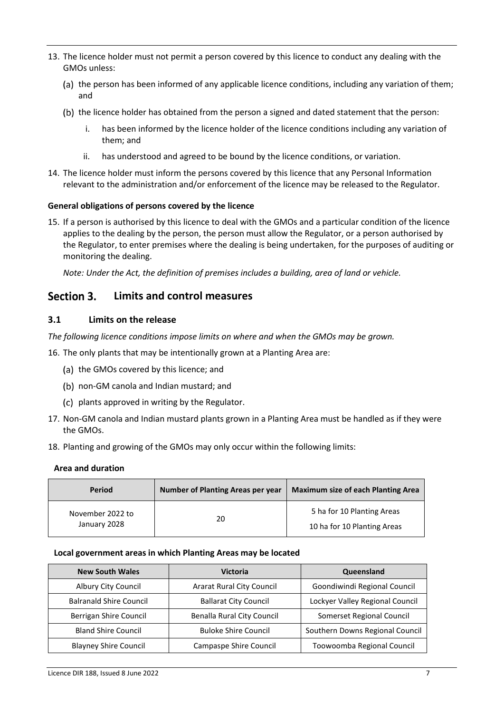- <span id="page-6-1"></span>13. The licence holder must not permit a person covered by this licence to conduct any dealing with the GMOs unless:
	- (a) the person has been informed of any applicable licence conditions, including any variation of them; and
	- (b) the licence holder has obtained from the person a signed and dated statement that the person:
		- has been informed by the licence holder of the licence conditions including any variation of them; and
		- ii. has understood and agreed to be bound by the licence conditions, or variation.
- 14. The licence holder must inform the persons covered by this licence that any Personal Information relevant to the administration and/or enforcement of the licence may be released to the Regulator.

#### **General obligations of persons covered by the licence**

15. If a person is authorised by this licence to deal with the GMOs and a particular condition of the licence applies to the dealing by the person, the person must allow the Regulator, or a person authorised by the Regulator, to enter premises where the dealing is being undertaken, for the purposes of auditing or monitoring the dealing.

*Note: Under the Act, the definition of premises includes a building, area of land or vehicle.*

#### Section 3. **Limits and control measures**

# **3.1 Limits on the release**

*The following licence conditions impose limits on where and when the GMOs may be grown.*

<span id="page-6-0"></span>16. The only plants that may be intentionally grown at a Planting Area are:

- (a) the GMOs covered by this licence; and
- (b) non-GM canola and Indian mustard; and
- (c) plants approved in writing by the Regulator.
- 17. Non-GM canola and Indian mustard plants grown in a Planting Area must be handled as if they were the GMOs.
- 18. Planting and growing of the GMOs may only occur within the following limits:

#### **Area and duration**

| <b>Period</b>                    | <b>Number of Planting Areas per year</b> | <b>Maximum size of each Planting Area</b>                 |
|----------------------------------|------------------------------------------|-----------------------------------------------------------|
| November 2022 to<br>January 2028 | 20                                       | 5 ha for 10 Planting Areas<br>10 ha for 10 Planting Areas |

#### **Local government areas in which Planting Areas may be located**

| <b>New South Wales</b>         | Victoria                         | Queensland                      |
|--------------------------------|----------------------------------|---------------------------------|
| Albury City Council            | <b>Ararat Rural City Council</b> | Goondiwindi Regional Council    |
| <b>Balranald Shire Council</b> | <b>Ballarat City Council</b>     | Lockyer Valley Regional Council |
| Berrigan Shire Council         | Benalla Rural City Council       | Somerset Regional Council       |
| <b>Bland Shire Council</b>     | <b>Buloke Shire Council</b>      | Southern Downs Regional Council |
| <b>Blayney Shire Council</b>   | Campaspe Shire Council           | Toowoomba Regional Council      |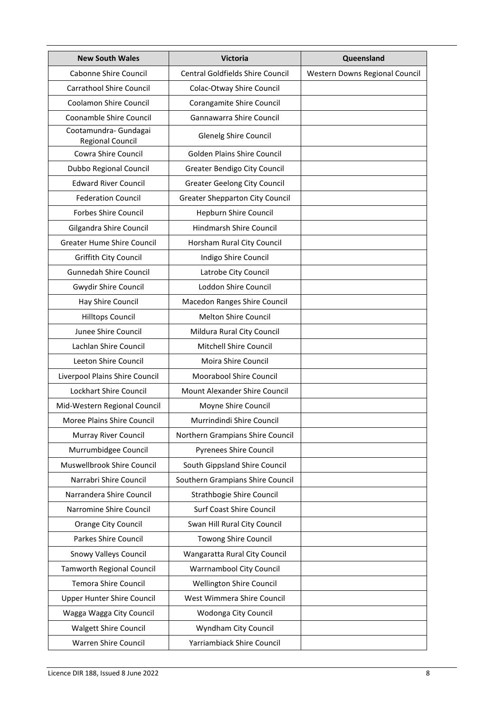| <b>New South Wales</b>                           | Victoria                               | Queensland                     |
|--------------------------------------------------|----------------------------------------|--------------------------------|
| Cabonne Shire Council                            | Central Goldfields Shire Council       | Western Downs Regional Council |
| <b>Carrathool Shire Council</b>                  | Colac-Otway Shire Council              |                                |
| Coolamon Shire Council                           | Corangamite Shire Council              |                                |
| Coonamble Shire Council                          | Gannawarra Shire Council               |                                |
| Cootamundra- Gundagai<br><b>Regional Council</b> | Glenelg Shire Council                  |                                |
| Cowra Shire Council                              | Golden Plains Shire Council            |                                |
| Dubbo Regional Council                           | Greater Bendigo City Council           |                                |
| <b>Edward River Council</b>                      | <b>Greater Geelong City Council</b>    |                                |
| <b>Federation Council</b>                        | <b>Greater Shepparton City Council</b> |                                |
| <b>Forbes Shire Council</b>                      | Hepburn Shire Council                  |                                |
| Gilgandra Shire Council                          | <b>Hindmarsh Shire Council</b>         |                                |
| <b>Greater Hume Shire Council</b>                | Horsham Rural City Council             |                                |
| Griffith City Council                            | Indigo Shire Council                   |                                |
| <b>Gunnedah Shire Council</b>                    | Latrobe City Council                   |                                |
| Gwydir Shire Council                             | Loddon Shire Council                   |                                |
| Hay Shire Council                                | Macedon Ranges Shire Council           |                                |
| <b>Hilltops Council</b>                          | Melton Shire Council                   |                                |
| Junee Shire Council                              | Mildura Rural City Council             |                                |
| Lachlan Shire Council                            | Mitchell Shire Council                 |                                |
| Leeton Shire Council                             | Moira Shire Council                    |                                |
| Liverpool Plains Shire Council                   | Moorabool Shire Council                |                                |
| <b>Lockhart Shire Council</b>                    | Mount Alexander Shire Council          |                                |
| Mid-Western Regional Council                     | Moyne Shire Council                    |                                |
| Moree Plains Shire Council                       | Murrindindi Shire Council              |                                |
| Murray River Council                             | Northern Grampians Shire Council       |                                |
| Murrumbidgee Council                             | <b>Pyrenees Shire Council</b>          |                                |
| Muswellbrook Shire Council                       | South Gippsland Shire Council          |                                |
| Narrabri Shire Council                           | Southern Grampians Shire Council       |                                |
| Narrandera Shire Council                         | Strathbogie Shire Council              |                                |
| Narromine Shire Council                          | Surf Coast Shire Council               |                                |
| Orange City Council                              | Swan Hill Rural City Council           |                                |
| Parkes Shire Council                             | Towong Shire Council                   |                                |
| Snowy Valleys Council                            | Wangaratta Rural City Council          |                                |
| <b>Tamworth Regional Council</b>                 | Warrnambool City Council               |                                |
| <b>Temora Shire Council</b>                      | Wellington Shire Council               |                                |
| Upper Hunter Shire Council                       | West Wimmera Shire Council             |                                |
| Wagga Wagga City Council                         | Wodonga City Council                   |                                |
| <b>Walgett Shire Council</b>                     | Wyndham City Council                   |                                |
| Warren Shire Council                             | Yarriambiack Shire Council             |                                |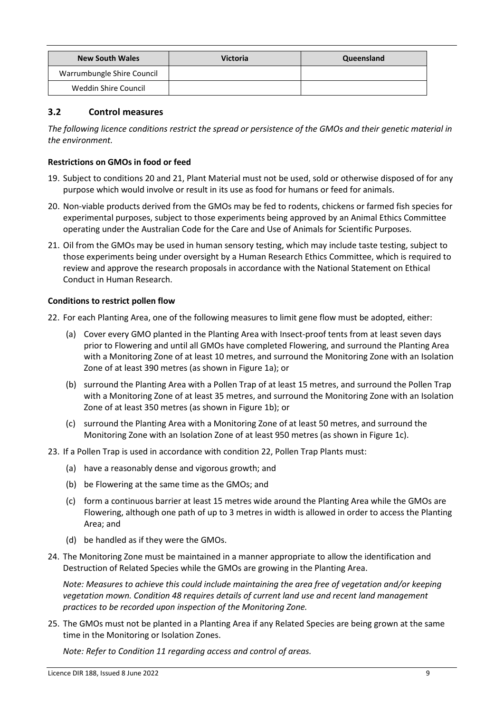| <b>New South Wales</b>     | <b>Victoria</b> | Queensland |
|----------------------------|-----------------|------------|
| Warrumbungle Shire Council |                 |            |
| Weddin Shire Council       |                 |            |

# **3.2 Control measures**

*The following licence conditions restrict the spread or persistence of the GMOs and their genetic material in the environment.*

## **Restrictions on GMOs in food or feed**

- 19. Subject to conditions 20 and 21, Plant Material must not be used, sold or otherwise disposed of for any purpose which would involve or result in its use as food for humans or feed for animals.
- 20. Non-viable products derived from the GMOs may be fed to rodents, chickens or farmed fish species for experimental purposes, subject to those experiments being approved by an Animal Ethics Committee operating under the Australian Code for the Care and Use of Animals for Scientific Purposes.
- 21. Oil from the GMOs may be used in human sensory testing, which may include taste testing, subject to those experiments being under oversight by a Human Research Ethics Committee, which is required to review and approve the research proposals in accordance with the National Statement on Ethical Conduct in Human Research.

## **Conditions to restrict pollen flow**

<span id="page-8-0"></span>22. For each Planting Area, one of the following measures to limit gene flow must be adopted, either:

- (a) Cover every GMO planted in the Planting Area with Insect-proof tents from at least seven days prior to Flowering and until all GMOs have completed Flowering, and surround the Planting Area with a Monitoring Zone of at least 10 metres, and surround the Monitoring Zone with an Isolation Zone of at least 390 metres (as shown in Figure 1a); or
- (b) surround the Planting Area with a Pollen Trap of at least 15 metres, and surround the Pollen Trap with a Monitoring Zone of at least 35 metres, and surround the Monitoring Zone with an Isolation Zone of at least 350 metres (as shown in Figure 1b); or
- (c) surround the Planting Area with a Monitoring Zone of at least 50 metres, and surround the Monitoring Zone with an Isolation Zone of at least 950 metres (as shown in Figure 1c).
- 23. If a Pollen Trap is used in accordance with condition [22,](#page-8-0) Pollen Trap Plants must:
	- (a) have a reasonably dense and vigorous growth; and
	- (b) be Flowering at the same time as the GMOs; and
	- (c) form a continuous barrier at least 15 metres wide around the Planting Area while the GMOs are Flowering, although one path of up to 3 metres in width is allowed in order to access the Planting Area; and
	- (d) be handled as if they were the GMOs.
- 24. The Monitoring Zone must be maintained in a manner appropriate to allow the identification and Destruction of Related Species while the GMOs are growing in the Planting Area.

*Note: Measures to achieve this could include maintaining the area free of vegetation and/or keeping vegetation mown. Condition [48](#page-15-0) requires details of current land use and recent land management practices to be recorded upon inspection of the Monitoring Zone.*

25. The GMOs must not be planted in a Planting Area if any Related Species are being grown at the same time in the Monitoring or Isolation Zones.

*Note: Refer to Condition [11](#page-5-0) regarding access and control of areas.*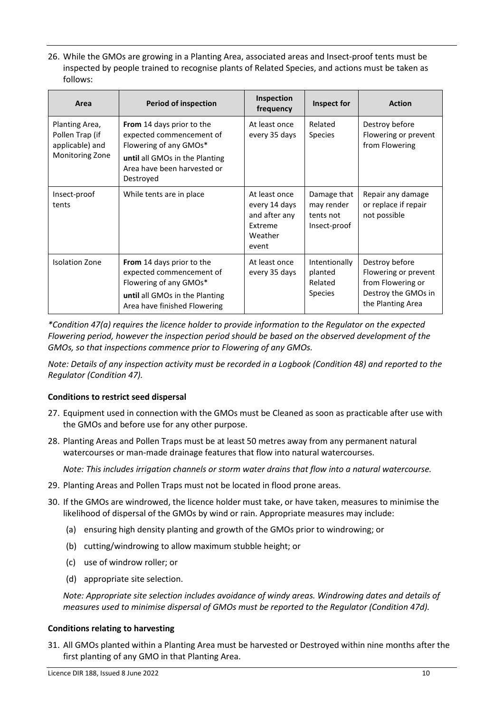<span id="page-9-1"></span>26. While the GMOs are growing in a Planting Area, associated areas and Insect-proof tents must be inspected by people trained to recognise plants of Related Species, and actions must be taken as follows:

| Area                                                                    | <b>Period of inspection</b>                                                                                                                                   | Inspection<br>frequency                                                        | Inspect for                                            | <b>Action</b>                                                                                           |
|-------------------------------------------------------------------------|---------------------------------------------------------------------------------------------------------------------------------------------------------------|--------------------------------------------------------------------------------|--------------------------------------------------------|---------------------------------------------------------------------------------------------------------|
| Planting Area,<br>Pollen Trap (if<br>applicable) and<br>Monitoring Zone | From 14 days prior to the<br>expected commencement of<br>Flowering of any GMOs*<br>until all GMOs in the Planting<br>Area have been harvested or<br>Destroyed | At least once<br>every 35 days                                                 | Related<br><b>Species</b>                              | Destroy before<br>Flowering or prevent<br>from Flowering                                                |
| Insect-proof<br>tents                                                   | While tents are in place                                                                                                                                      | At least once<br>every 14 days<br>and after any<br>Extreme<br>Weather<br>event | Damage that<br>may render<br>tents not<br>Insect-proof | Repair any damage<br>or replace if repair<br>not possible                                               |
| <b>Isolation Zone</b>                                                   | <b>From</b> 14 days prior to the<br>expected commencement of<br>Flowering of any GMOs*<br>until all GMOs in the Planting<br>Area have finished Flowering      | At least once<br>every 35 days                                                 | Intentionally<br>planted<br>Related<br><b>Species</b>  | Destroy before<br>Flowering or prevent<br>from Flowering or<br>Destroy the GMOs in<br>the Planting Area |

*\*Condition [47\(](#page-14-0)a) requires the licence holder to provide information to the Regulator on the expected Flowering period, however the inspection period should be based on the observed development of the GMOs, so that inspections commence prior to Flowering of any GMOs.*

*Note: Details of any inspection activity must be recorded in a Logbook (Condition [48\)](#page-15-0) and reported to the Regulator (Conditio[n 47\)](#page-14-0).*

# **Conditions to restrict seed dispersal**

- 27. Equipment used in connection with the GMOs must be Cleaned as soon as practicable after use with the GMOs and before use for any other purpose.
- 28. Planting Areas and Pollen Traps must be at least 50 metres away from any permanent natural watercourses or man-made drainage features that flow into natural watercourses.

*Note: This includes irrigation channels or storm water drains that flow into a natural watercourse.*

- 29. Planting Areas and Pollen Traps must not be located in flood prone areas.
- <span id="page-9-0"></span>30. If the GMOs are windrowed, the licence holder must take, or have taken, measures to minimise the likelihood of dispersal of the GMOs by wind or rain. Appropriate measures may include:
	- (a) ensuring high density planting and growth of the GMOs prior to windrowing; or
	- (b) cutting/windrowing to allow maximum stubble height; or
	- (c) use of windrow roller; or
	- (d) appropriate site selection.

*Note: Appropriate site selection includes avoidance of windy areas. Windrowing dates and details of measures used to minimise dispersal of GMOs must be reported to the Regulator (Conditio[n 47](#page-14-0)[d\)](#page-14-1).*

#### **Conditions relating to harvesting**

31. All GMOs planted within a Planting Area must be harvested or Destroyed within nine months after the first planting of any GMO in that Planting Area.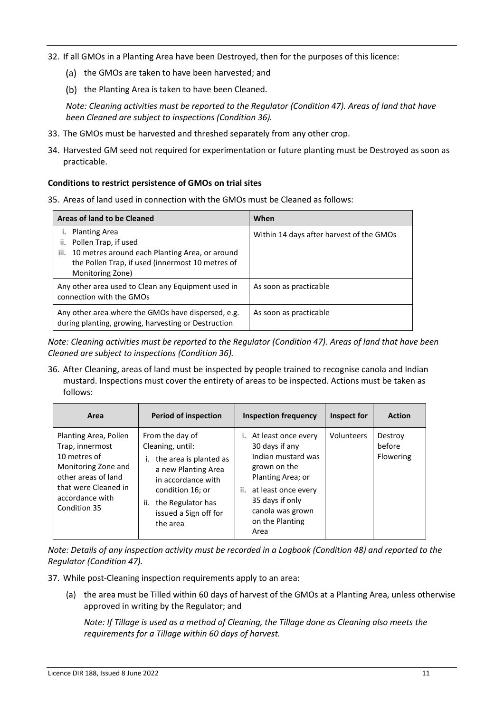- 32. If all GMOs in a Planting Area have been Destroyed, then for the purposes of this licence:
	- (a) the GMOs are taken to have been harvested; and
	- (b) the Planting Area is taken to have been Cleaned.

*Note: Cleaning activities must be reported to the Regulator (Conditio[n 47\)](#page-14-0). Areas of land that have been Cleaned are subject to inspections (Conditio[n 36\)](#page-10-0).*

- 33. The GMOs must be harvested and threshed separately from any other crop.
- 34. Harvested GM seed not required for experimentation or future planting must be Destroyed as soon as practicable.

## **Conditions to restrict persistence of GMOs on trial sites**

<span id="page-10-1"></span>35. Areas of land used in connection with the GMOs must be Cleaned as follows:

| <b>Areas of land to be Cleaned</b>                                                                                                                                                | When                                     |
|-----------------------------------------------------------------------------------------------------------------------------------------------------------------------------------|------------------------------------------|
| i. Planting Area<br>Pollen Trap, if used<br>ii.<br>10 metres around each Planting Area, or around<br>iii.<br>the Pollen Trap, if used (innermost 10 metres of<br>Monitoring Zone) | Within 14 days after harvest of the GMOs |
| Any other area used to Clean any Equipment used in<br>connection with the GMOs                                                                                                    | As soon as practicable                   |
| Any other area where the GMOs have dispersed, e.g.<br>during planting, growing, harvesting or Destruction                                                                         | As soon as practicable                   |

*Note: Cleaning activities must be reported to the Regulator (Condition [47\)](#page-14-0). Areas of land that have been Cleaned are subject to inspections (Condition [36\)](#page-10-0).* 

<span id="page-10-0"></span>36. After Cleaning, areas of land must be inspected by people trained to recognise canola and Indian mustard. Inspections must cover the entirety of areas to be inspected. Actions must be taken as follows:

| Area                                                                                                                                                              | <b>Period of inspection</b>                                                                                                                                                                     | <b>Inspection frequency</b>                                                                                                                                                                            | Inspect for | <b>Action</b>                  |
|-------------------------------------------------------------------------------------------------------------------------------------------------------------------|-------------------------------------------------------------------------------------------------------------------------------------------------------------------------------------------------|--------------------------------------------------------------------------------------------------------------------------------------------------------------------------------------------------------|-------------|--------------------------------|
| Planting Area, Pollen<br>Trap, innermost<br>10 metres of<br>Monitoring Zone and<br>other areas of land<br>that were Cleaned in<br>accordance with<br>Condition 35 | From the day of<br>Cleaning, until:<br>the area is planted as<br>a new Planting Area<br>in accordance with<br>condition 16; or<br>the Regulator has<br>ii.<br>issued a Sign off for<br>the area | At least once every<br>Ĺ.<br>30 days if any<br>Indian mustard was<br>grown on the<br>Planting Area; or<br>at least once every<br>ii.<br>35 days if only<br>canola was grown<br>on the Planting<br>Area | Volunteers  | Destroy<br>before<br>Flowering |

*Note: Details of any inspection activity must be recorded in a Logbook (Condition [48\)](#page-15-0) and reported to the Regulator (Conditio[n 47\)](#page-14-0).*

- <span id="page-10-2"></span>37. While post-Cleaning inspection requirements apply to an area:
	- (a) the area must be Tilled within 60 days of harvest of the GMOs at a Planting Area, unless otherwise approved in writing by the Regulator; and

*Note: If Tillage is used as a method of Cleaning, the Tillage done as Cleaning also meets the requirements for a Tillage within 60 days of harvest.*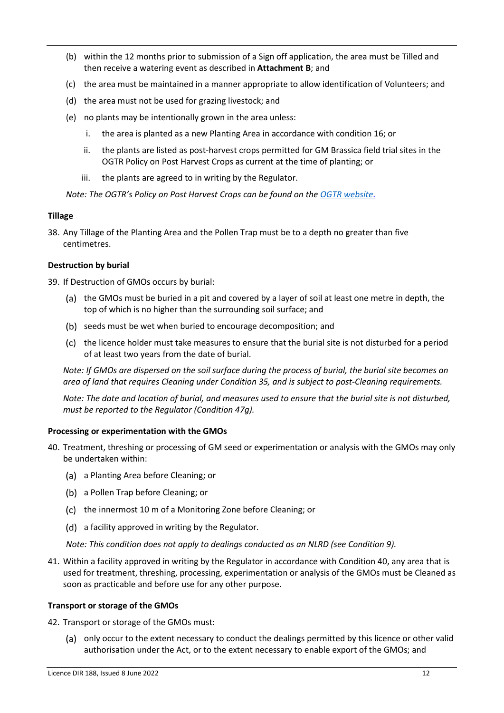- (b) within the 12 months prior to submission of a Sign off application, the area must be Tilled and then receive a watering event as described in **Attachment [B](#page-18-0)**; and
- (c) the area must be maintained in a manner appropriate to allow identification of Volunteers; and
- (d) the area must not be used for grazing livestock; and
- (e) no plants may be intentionally grown in the area unless:
	- i. the area is planted as a new Planting Area in accordance with conditio[n 16;](#page-6-0) or
	- ii. the plants are listed as post-harvest crops permitted for GM Brassica field trial sites in the OGTR Policy on Post Harvest Crops as current at the time of planting; or
	- iii. the plants are agreed to in writing by the Regulator.

*Note: The OGTR's Policy on Post Harvest Crops can be found on the [OGTR website](https://www.ogtr.gov.au/resources/publications/policy-post-harvest-crops)*.

## **Tillage**

<span id="page-11-0"></span>38. Any Tillage of the Planting Area and the Pollen Trap must be to a depth no greater than five centimetres.

## **Destruction by burial**

<span id="page-11-1"></span>39. If Destruction of GMOs occurs by burial:

- (a) the GMOs must be buried in a pit and covered by a layer of soil at least one metre in depth, the top of which is no higher than the surrounding soil surface; and
- (b) seeds must be wet when buried to encourage decomposition; and
- (c) the licence holder must take measures to ensure that the burial site is not disturbed for a period of at least two years from the date of burial.

*Note: If GMOs are dispersed on the soil surface during the process of burial, the burial site becomes an area of land that requires Cleaning under Conditio[n 35,](#page-10-1) and is subject to post-Cleaning requirements.*

*Note: The date and location of burial, and measures used to ensure that the burial site is not disturbed, must be reported to the Regulator (Conditio[n 47](#page-14-0)[g\)](#page-15-1).*

#### **Processing or experimentation with the GMOs**

- 40. Treatment, threshing or processing of GM seed or experimentation or analysis with the GMOs may only be undertaken within:
	- (a) a Planting Area before Cleaning; or
	- a Pollen Trap before Cleaning; or
	- (c) the innermost 10 m of a Monitoring Zone before Cleaning; or
	- (d) a facility approved in writing by the Regulator.

*Note: This condition does not apply to dealings conducted as an NLRD (see Conditio[n 9\)](#page-5-1).*

41. Within a facility approved in writing by the Regulator in accordance with Condition 40, any area that is used for treatment, threshing, processing, experimentation or analysis of the GMOs must be Cleaned as soon as practicable and before use for any other purpose.

#### **Transport or storage of the GMOs**

- 42. Transport or storage of the GMOs must:
	- (a) only occur to the extent necessary to conduct the dealings permitted by this licence or other valid authorisation under the Act, or to the extent necessary to enable export of the GMOs; and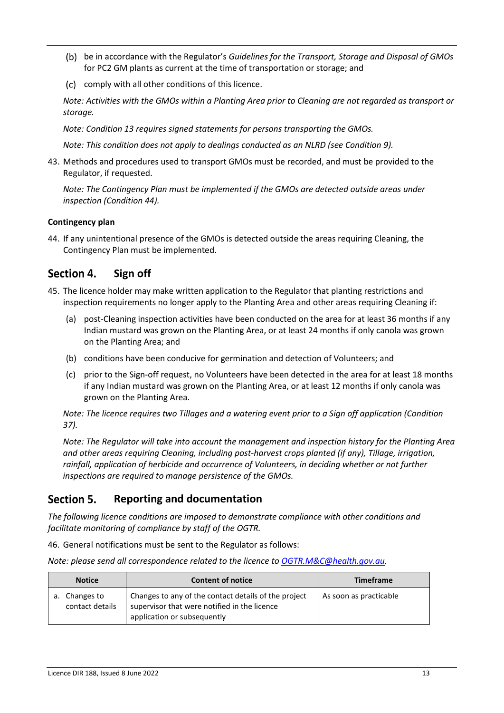- be in accordance with the Regulator's *Guidelines for the Transport, Storage and Disposal of GMOs* for PC2 GM plants as current at the time of transportation or storage; and
- (c) comply with all other conditions of this licence.

*Note: Activities with the GMOs within a Planting Area prior to Cleaning are not regarded as transport or storage.*

*Note: Condition 13 requires signed statements for persons transporting the GMOs.*

*Note: This condition does not apply to dealings conducted as an NLRD (see Condition [9\)](#page-5-1).*

<span id="page-12-2"></span>43. Methods and procedures used to transport GMOs must be recorded, and must be provided to the Regulator, if requested.

*Note: The Contingency Plan must be implemented if the GMOs are detected outside areas under inspection (Condition 44).*

# **Contingency plan**

<span id="page-12-1"></span>44. If any unintentional presence of the GMOs is detected outside the areas requiring Cleaning, the Contingency Plan must be implemented.

#### Section 4. **Sign off**

- 45. The licence holder may make written application to the Regulator that planting restrictions and inspection requirements no longer apply to the Planting Area and other areas requiring Cleaning if:
	- (a) post-Cleaning inspection activities have been conducted on the area for at least 36 months if any Indian mustard was grown on the Planting Area, or at least 24 months if only canola was grown on the Planting Area; and
	- (b) conditions have been conducive for germination and detection of Volunteers; and
	- (c) prior to the Sign-off request, no Volunteers have been detected in the area for at least 18 months if any Indian mustard was grown on the Planting Area, or at least 12 months if only canola was grown on the Planting Area.

*Note: The licence requires two Tillages and a watering event prior to a Sign off application (Condition [37\)](#page-10-2).*

*Note: The Regulator will take into account the management and inspection history for the Planting Area and other areas requiring Cleaning, including post-harvest crops planted (if any), Tillage, irrigation,*  rainfall, application of herbicide and occurrence of Volunteers, in deciding whether or not further *inspections are required to manage persistence of the GMOs.* 

#### Section 5. **Reporting and documentation**

*The following licence conditions are imposed to demonstrate compliance with other conditions and facilitate monitoring of compliance by staff of the OGTR.*

<span id="page-12-0"></span>46. General notifications must be sent to the Regulator as follows:

| Note: please send all correspondence related to the licence to OGTR.M&C@health.gov.au. |  |
|----------------------------------------------------------------------------------------|--|
|----------------------------------------------------------------------------------------|--|

| <b>Notice</b>                    | <b>Content of notice</b>                                                                                                            | <b>Timeframe</b>       |
|----------------------------------|-------------------------------------------------------------------------------------------------------------------------------------|------------------------|
| a. Changes to<br>contact details | Changes to any of the contact details of the project<br>supervisor that were notified in the licence<br>application or subsequently | As soon as practicable |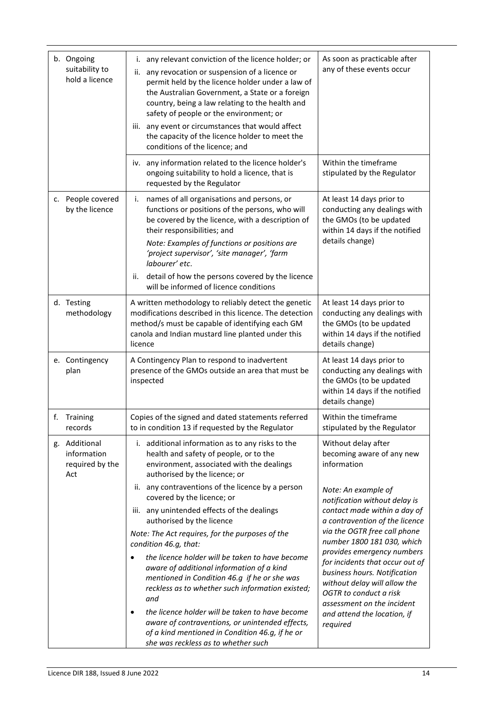|    | b. Ongoing<br>suitability to<br>hold a licence         | i. any relevant conviction of the licence holder; or<br>ii. any revocation or suspension of a licence or<br>permit held by the licence holder under a law of<br>the Australian Government, a State or a foreign<br>country, being a law relating to the health and<br>safety of people or the environment; or<br>iii. any event or circumstances that would affect<br>the capacity of the licence holder to meet the<br>conditions of the licence; and<br>iv. any information related to the licence holder's | As soon as practicable after<br>any of these events occur<br>Within the timeframe                                                                           |
|----|--------------------------------------------------------|---------------------------------------------------------------------------------------------------------------------------------------------------------------------------------------------------------------------------------------------------------------------------------------------------------------------------------------------------------------------------------------------------------------------------------------------------------------------------------------------------------------|-------------------------------------------------------------------------------------------------------------------------------------------------------------|
|    |                                                        | ongoing suitability to hold a licence, that is<br>requested by the Regulator                                                                                                                                                                                                                                                                                                                                                                                                                                  | stipulated by the Regulator                                                                                                                                 |
|    | c. People covered<br>by the licence                    | names of all organisations and persons, or<br>i.<br>functions or positions of the persons, who will<br>be covered by the licence, with a description of<br>their responsibilities; and<br>Note: Examples of functions or positions are<br>'project supervisor', 'site manager', 'farm<br>labourer' etc.<br>detail of how the persons covered by the licence<br>ii.<br>will be informed of licence conditions                                                                                                  | At least 14 days prior to<br>conducting any dealings with<br>the GMOs (to be updated<br>within 14 days if the notified<br>details change)                   |
|    | d. Testing<br>methodology                              | A written methodology to reliably detect the genetic<br>modifications described in this licence. The detection<br>method/s must be capable of identifying each GM<br>canola and Indian mustard line planted under this<br>licence                                                                                                                                                                                                                                                                             | At least 14 days prior to<br>conducting any dealings with<br>the GMOs (to be updated<br>within 14 days if the notified<br>details change)                   |
|    | e. Contingency<br>plan                                 | A Contingency Plan to respond to inadvertent<br>presence of the GMOs outside an area that must be<br>inspected                                                                                                                                                                                                                                                                                                                                                                                                | At least 14 days prior to<br>conducting any dealings with<br>the GMOs (to be updated<br>within 14 days if the notified<br>details change)                   |
| f. | Training<br>records                                    | Copies of the signed and dated statements referred<br>to in condition 13 if requested by the Regulator                                                                                                                                                                                                                                                                                                                                                                                                        | Within the timeframe<br>stipulated by the Regulator                                                                                                         |
|    | g. Additional<br>information<br>required by the<br>Act | i. additional information as to any risks to the<br>health and safety of people, or to the<br>environment, associated with the dealings<br>authorised by the licence; or                                                                                                                                                                                                                                                                                                                                      | Without delay after<br>becoming aware of any new<br>information                                                                                             |
|    |                                                        | ii. any contraventions of the licence by a person<br>covered by the licence; or                                                                                                                                                                                                                                                                                                                                                                                                                               | Note: An example of<br>notification without delay is                                                                                                        |
|    |                                                        | iii. any unintended effects of the dealings<br>authorised by the licence                                                                                                                                                                                                                                                                                                                                                                                                                                      | contact made within a day of<br>a contravention of the licence                                                                                              |
|    |                                                        | Note: The Act requires, for the purposes of the<br>condition 46.g, that:<br>the licence holder will be taken to have become<br>$\bullet$<br>aware of additional information of a kind                                                                                                                                                                                                                                                                                                                         | via the OGTR free call phone<br>number 1800 181 030, which<br>provides emergency numbers<br>for incidents that occur out of<br>business hours. Notification |
|    |                                                        | mentioned in Condition 46.g if he or she was<br>reckless as to whether such information existed;<br>and                                                                                                                                                                                                                                                                                                                                                                                                       | without delay will allow the<br>OGTR to conduct a risk<br>assessment on the incident                                                                        |
|    |                                                        | the licence holder will be taken to have become<br>$\bullet$<br>aware of contraventions, or unintended effects,<br>of a kind mentioned in Condition 46.g, if he or<br>she was reckless as to whether such                                                                                                                                                                                                                                                                                                     | and attend the location, if<br>required                                                                                                                     |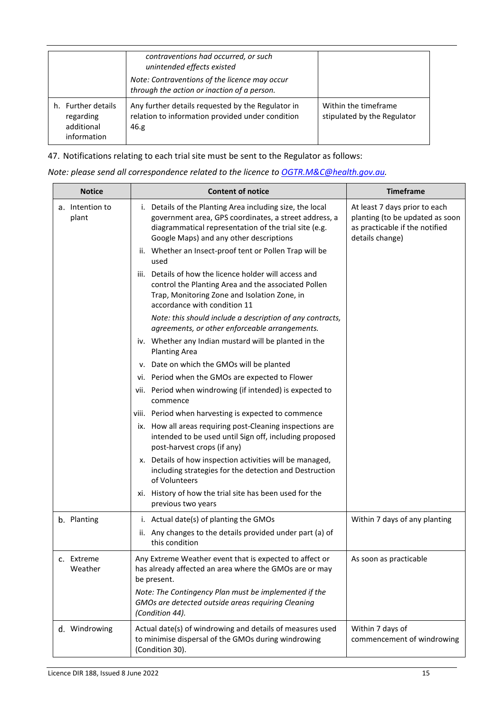|                                                              | contraventions had occurred, or such<br>unintended effects existed<br>Note: Contraventions of the licence may occur<br>through the action or inaction of a person. |                                                     |
|--------------------------------------------------------------|--------------------------------------------------------------------------------------------------------------------------------------------------------------------|-----------------------------------------------------|
| h. Further details<br>regarding<br>additional<br>information | Any further details requested by the Regulator in<br>relation to information provided under condition<br>46.g                                                      | Within the timeframe<br>stipulated by the Regulator |

<span id="page-14-0"></span>47. Notifications relating to each trial site must be sent to the Regulator as follows:

| Note: please send all correspondence related to the licence to OGTR.M&C@health.gov.au. |  |  |
|----------------------------------------------------------------------------------------|--|--|
|----------------------------------------------------------------------------------------|--|--|

<span id="page-14-1"></span>

| <b>Notice</b>            | <b>Content of notice</b>                                                                                                                                                                                               | <b>Timeframe</b>                                                                                                      |
|--------------------------|------------------------------------------------------------------------------------------------------------------------------------------------------------------------------------------------------------------------|-----------------------------------------------------------------------------------------------------------------------|
| a. Intention to<br>plant | i. Details of the Planting Area including size, the local<br>government area, GPS coordinates, a street address, a<br>diagrammatical representation of the trial site (e.g.<br>Google Maps) and any other descriptions | At least 7 days prior to each<br>planting (to be updated as soon<br>as practicable if the notified<br>details change) |
|                          | ii. Whether an Insect-proof tent or Pollen Trap will be<br>used                                                                                                                                                        |                                                                                                                       |
|                          | iii. Details of how the licence holder will access and<br>control the Planting Area and the associated Pollen<br>Trap, Monitoring Zone and Isolation Zone, in<br>accordance with condition 11                          |                                                                                                                       |
|                          | Note: this should include a description of any contracts,<br>agreements, or other enforceable arrangements.                                                                                                            |                                                                                                                       |
|                          | iv. Whether any Indian mustard will be planted in the<br><b>Planting Area</b>                                                                                                                                          |                                                                                                                       |
|                          | v. Date on which the GMOs will be planted                                                                                                                                                                              |                                                                                                                       |
|                          | vi. Period when the GMOs are expected to Flower                                                                                                                                                                        |                                                                                                                       |
|                          | vii. Period when windrowing (if intended) is expected to<br>commence                                                                                                                                                   |                                                                                                                       |
|                          | viii. Period when harvesting is expected to commence                                                                                                                                                                   |                                                                                                                       |
|                          | ix. How all areas requiring post-Cleaning inspections are<br>intended to be used until Sign off, including proposed<br>post-harvest crops (if any)                                                                     |                                                                                                                       |
|                          | x. Details of how inspection activities will be managed,<br>including strategies for the detection and Destruction<br>of Volunteers                                                                                    |                                                                                                                       |
|                          | xi. History of how the trial site has been used for the<br>previous two years                                                                                                                                          |                                                                                                                       |
| b. Planting              | i. Actual date(s) of planting the GMOs                                                                                                                                                                                 | Within 7 days of any planting                                                                                         |
|                          | ii. Any changes to the details provided under part (a) of<br>this condition                                                                                                                                            |                                                                                                                       |
| Extreme<br>c.<br>Weather | Any Extreme Weather event that is expected to affect or<br>has already affected an area where the GMOs are or may<br>be present.                                                                                       | As soon as practicable                                                                                                |
|                          | Note: The Contingency Plan must be implemented if the<br>GMOs are detected outside areas requiring Cleaning<br>(Condition 44).                                                                                         |                                                                                                                       |
| d. Windrowing            | Actual date(s) of windrowing and details of measures used<br>to minimise dispersal of the GMOs during windrowing<br>(Condition 30).                                                                                    | Within 7 days of<br>commencement of windrowing                                                                        |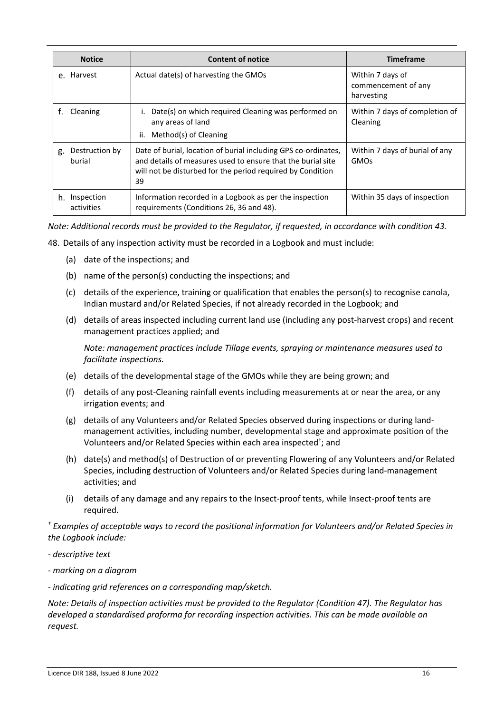|    | <b>Notice</b>            | <b>Content of notice</b>                                                                                                                                                                          | <b>Timeframe</b>                                      |
|----|--------------------------|---------------------------------------------------------------------------------------------------------------------------------------------------------------------------------------------------|-------------------------------------------------------|
| e. | Harvest                  | Actual date(s) of harvesting the GMOs                                                                                                                                                             | Within 7 days of<br>commencement of any<br>harvesting |
|    | Cleaning                 | Date(s) on which required Cleaning was performed on<br>any areas of land<br>ii.<br>Method(s) of Cleaning                                                                                          | Within 7 days of completion of<br>Cleaning            |
| g. | Destruction by<br>burial | Date of burial, location of burial including GPS co-ordinates,<br>and details of measures used to ensure that the burial site<br>will not be disturbed for the period required by Condition<br>39 | Within 7 days of burial of any<br><b>GMOs</b>         |
| h. | Inspection<br>activities | Information recorded in a Logbook as per the inspection<br>requirements (Conditions 26, 36 and 48).                                                                                               | Within 35 days of inspection                          |

<span id="page-15-1"></span>*Note: Additional records must be provided to the Regulator, if requested, in accordance with condition [43.](#page-12-2)* 

- <span id="page-15-0"></span>48. Details of any inspection activity must be recorded in a Logbook and must include:
	- (a) date of the inspections; and
	- (b) name of the person(s) conducting the inspections; and
	- (c) details of the experience, training or qualification that enables the person(s) to recognise canola, Indian mustard and/or Related Species, if not already recorded in the Logbook; and
	- (d) details of areas inspected including current land use (including any post-harvest crops) and recent management practices applied; and

*Note: management practices include Tillage events, spraying or maintenance measures used to facilitate inspections.* 

- (e) details of the developmental stage of the GMOs while they are being grown; and
- (f) details of any post-Cleaning rainfall events including measurements at or near the area, or any irrigation events; and
- (g) details of any Volunteers and/or Related Species observed during inspections or during landmanagement activities, including number, developmental stage and approximate position of the Volunteers and/or Related Species within each area inspected<sup>†</sup>; and
- (h) date(s) and method(s) of Destruction of or preventing Flowering of any Volunteers and/or Related Species, including destruction of Volunteers and/or Related Species during land-management activities; and
- (i) details of any damage and any repairs to the Insect-proof tents, while Insect-proof tents are required.

*† Examples of acceptable ways to record the positional information for Volunteers and/or Related Species in the Logbook include:* 

- *descriptive text*
- *marking on a diagram*
- *indicating grid references on a corresponding map/sketch.*

*Note: Details of inspection activities must be provided to the Regulator (Condition [47\)](#page-14-0). The Regulator has developed a standardised proforma for recording inspection activities. This can be made available on request.*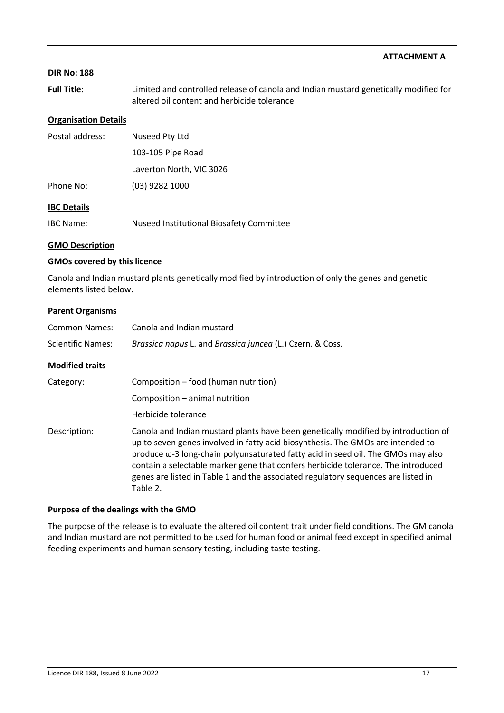### <span id="page-16-0"></span>**DIR No: 188**

**Full Title:** Limited and controlled release of canola and Indian mustard genetically modified for altered oil content and herbicide tolerance

#### **Organisation Details**

| Postal address:    | Nuseed Pty Ltd           |  |
|--------------------|--------------------------|--|
|                    | 103-105 Pipe Road        |  |
|                    | Laverton North, VIC 3026 |  |
| Phone No:          | $(03)$ 9282 1000         |  |
| <b>IBC Details</b> |                          |  |

IBC Name: Nuseed Institutional Biosafety Committee

#### **GMO Description**

#### **GMOs covered by this licence**

Canola and Indian mustard plants genetically modified by introduction of only the genes and genetic elements listed below.

#### **Parent Organisms**

| <b>Common Names:</b>     | Canola and Indian mustard                                                                                                                                                                                                                                                                                                                                                                                                                               |  |
|--------------------------|---------------------------------------------------------------------------------------------------------------------------------------------------------------------------------------------------------------------------------------------------------------------------------------------------------------------------------------------------------------------------------------------------------------------------------------------------------|--|
| <b>Scientific Names:</b> | Brassica napus L. and Brassica juncea (L.) Czern. & Coss.                                                                                                                                                                                                                                                                                                                                                                                               |  |
| <b>Modified traits</b>   |                                                                                                                                                                                                                                                                                                                                                                                                                                                         |  |
| Category:                | Composition - food (human nutrition)                                                                                                                                                                                                                                                                                                                                                                                                                    |  |
|                          | Composition - animal nutrition                                                                                                                                                                                                                                                                                                                                                                                                                          |  |
|                          | Herbicide tolerance                                                                                                                                                                                                                                                                                                                                                                                                                                     |  |
| Description:             | Canola and Indian mustard plants have been genetically modified by introduction of<br>up to seven genes involved in fatty acid biosynthesis. The GMOs are intended to<br>produce $\omega$ -3 long-chain polyunsaturated fatty acid in seed oil. The GMOs may also<br>contain a selectable marker gene that confers herbicide tolerance. The introduced<br>genes are listed in Table 1 and the associated regulatory sequences are listed in<br>Table 2. |  |

#### **Purpose of the dealings with the GMO**

The purpose of the release is to evaluate the altered oil content trait under field conditions. The GM canola and Indian mustard are not permitted to be used for human food or animal feed except in specified animal feeding experiments and human sensory testing, including taste testing.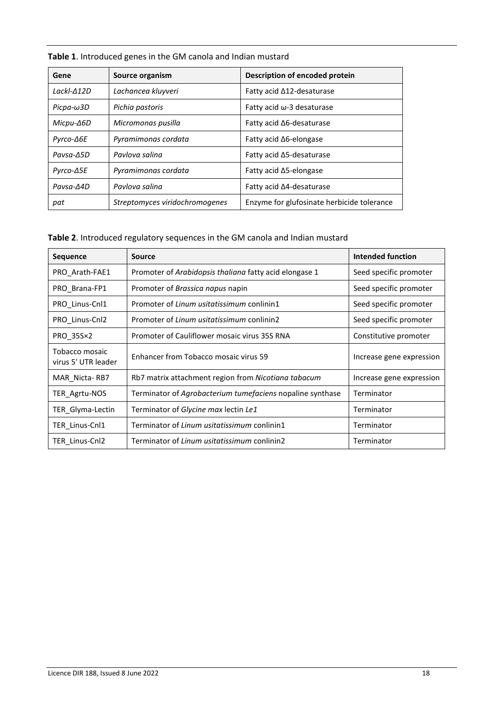| Gene             | Source organism                | Description of encoded protein             |  |
|------------------|--------------------------------|--------------------------------------------|--|
| $LackI-12D$      | Lachancea kluyveri             | Fatty acid $\Delta$ 12-desaturase          |  |
| $Picpa-\omega3D$ | Pichia pastoris                | Fatty acid $\omega$ -3 desaturase          |  |
| Micpu-∆6D        | Micromonas pusilla             | Fatty acid $\Delta$ 6-desaturase           |  |
| Pyrco-∆6E        | Pyramimonas cordata            | Fatty acid ∆6-elongase                     |  |
| Pavsa-A5D        | Pavlova salina                 | Fatty acid ∆5-desaturase                   |  |
| Pyrco-∆5E        | Pyramimonas cordata            | Fatty acid ∆5-elongase                     |  |
| $Pavsa-A4D$      | Pavlova salina                 | Fatty acid ∆4-desaturase                   |  |
| pat              | Streptomyces viridochromogenes | Enzyme for glufosinate herbicide tolerance |  |

**Table 1**. Introduced genes in the GM canola and Indian mustard

**Table 2**. Introduced regulatory sequences in the GM canola and Indian mustard

| <b>Sequence</b>                       | Source                                                    | Intended function        |
|---------------------------------------|-----------------------------------------------------------|--------------------------|
| PRO_Arath-FAE1                        | Promoter of Arabidopsis thaliana fatty acid elongase 1    | Seed specific promoter   |
| PRO Brana-FP1                         | Promoter of <i>Brassica napus</i> napin                   | Seed specific promoter   |
| PRO_Linus-Cnl1                        | Promoter of Linum usitatissimum conlinin1                 | Seed specific promoter   |
| PRO_Linus-Cnl2                        | Promoter of Linum usitatissimum conlinin2                 | Seed specific promoter   |
| PRO_35S×2                             | Promoter of Cauliflower mosaic virus 35S RNA              | Constitutive promoter    |
| Tobacco mosaic<br>virus 5' UTR leader | Enhancer from Tobacco mosaic virus 59                     | Increase gene expression |
| MAR Nicta-RB7                         | Rb7 matrix attachment region from Nicotiana tabacum       | Increase gene expression |
| TER Agrtu-NOS                         | Terminator of Agrobacterium tumefaciens nopaline synthase | Terminator               |
| TER Glyma-Lectin                      | Terminator of Glycine max lectin Le1                      | Terminator               |
| TER Linus-Cnl1                        | Terminator of Linum usitatissimum conlinin1               | Terminator               |
| TER Linus-Cnl2                        | Terminator of Linum usitatissimum conlinin2               | Terminator               |